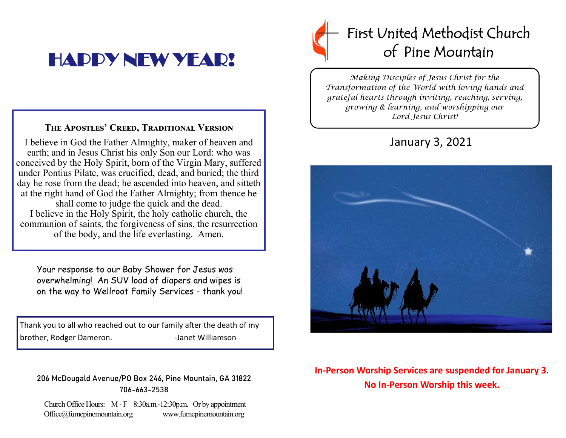# HAPPY NEW YEAR!

### **The Apostles' Creed, Traditional Version**

I believe in God the Father Almighty, maker of heaven and earth; and in Jesus Christ his only Son our Lord: who was conceived by the Holy Spirit, born of the Virgin Mary, suffered under Pontius Pilate, was crucified, dead, and buried; the third day he rose from the dead; he ascended into heaven, and sitteth at the right hand of God the Father Almighty; from thence he shall come to judge the quick and the dead. I believe in the Holy Spirit, the holy catholic church, the communion of saints, the forgiveness of sins, the resurrection of the body, and the life everlasting. Amen.

Your response to our Baby Shower for Jesus was overwhelming! An SUV load of diapers and wipes is on the way to Wellroot Family Services - thank you!

Thank you to all who reached out to our family after the death of my brother, Rodger Dameron. The State of Handel Williamson

### 206 McDougald Avenue/PO Box 246, Pine Mountain, GA 31822 706-663-2538

Church Office Hours: M - F 8:30a.m.-12:30p.m. Or by appointment Office@fumcpinemountain.org www.fumcpinemountain.org

## First United Methodist Church of Pine Mountain

*Making Disciples of Jesus Christ for the Transformation of the World with loving hands and grateful hearts through inviting, reaching, serving, growing & learning, and worshipping our Lord Jesus Christ!* 

## January 3, 2021



### **In-Person Worship Services are suspended for January 3. No In-Person Worship this week.**